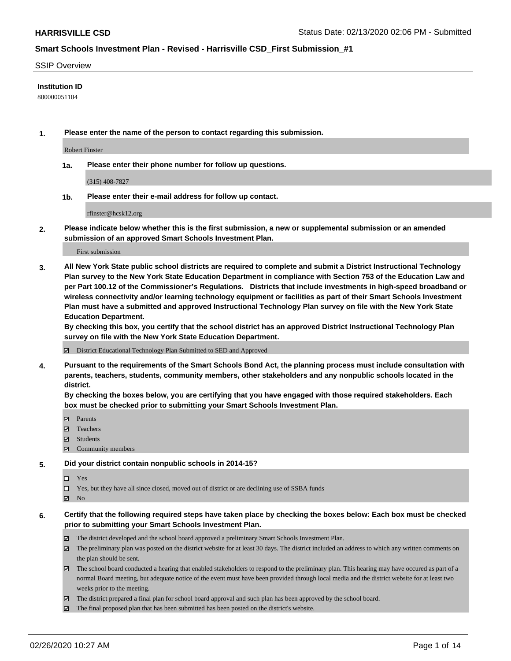#### SSIP Overview

### **Institution ID**

800000051104

**1. Please enter the name of the person to contact regarding this submission.**

Robert Finster

**1a. Please enter their phone number for follow up questions.**

(315) 408-7827

**1b. Please enter their e-mail address for follow up contact.**

rfinster@hcsk12.org

**2. Please indicate below whether this is the first submission, a new or supplemental submission or an amended submission of an approved Smart Schools Investment Plan.**

#### First submission

**3. All New York State public school districts are required to complete and submit a District Instructional Technology Plan survey to the New York State Education Department in compliance with Section 753 of the Education Law and per Part 100.12 of the Commissioner's Regulations. Districts that include investments in high-speed broadband or wireless connectivity and/or learning technology equipment or facilities as part of their Smart Schools Investment Plan must have a submitted and approved Instructional Technology Plan survey on file with the New York State Education Department.** 

**By checking this box, you certify that the school district has an approved District Instructional Technology Plan survey on file with the New York State Education Department.**

District Educational Technology Plan Submitted to SED and Approved

**4. Pursuant to the requirements of the Smart Schools Bond Act, the planning process must include consultation with parents, teachers, students, community members, other stakeholders and any nonpublic schools located in the district.** 

**By checking the boxes below, you are certifying that you have engaged with those required stakeholders. Each box must be checked prior to submitting your Smart Schools Investment Plan.**

- **マ** Parents
- Teachers
- Students
- Community members

#### **5. Did your district contain nonpublic schools in 2014-15?**

 $\neg$  Yes

Yes, but they have all since closed, moved out of district or are declining use of SSBA funds

**Z** No

### **6. Certify that the following required steps have taken place by checking the boxes below: Each box must be checked prior to submitting your Smart Schools Investment Plan.**

- The district developed and the school board approved a preliminary Smart Schools Investment Plan.
- $\boxtimes$  The preliminary plan was posted on the district website for at least 30 days. The district included an address to which any written comments on the plan should be sent.
- $\boxtimes$  The school board conducted a hearing that enabled stakeholders to respond to the preliminary plan. This hearing may have occured as part of a normal Board meeting, but adequate notice of the event must have been provided through local media and the district website for at least two weeks prior to the meeting.
- The district prepared a final plan for school board approval and such plan has been approved by the school board.
- $\boxtimes$  The final proposed plan that has been submitted has been posted on the district's website.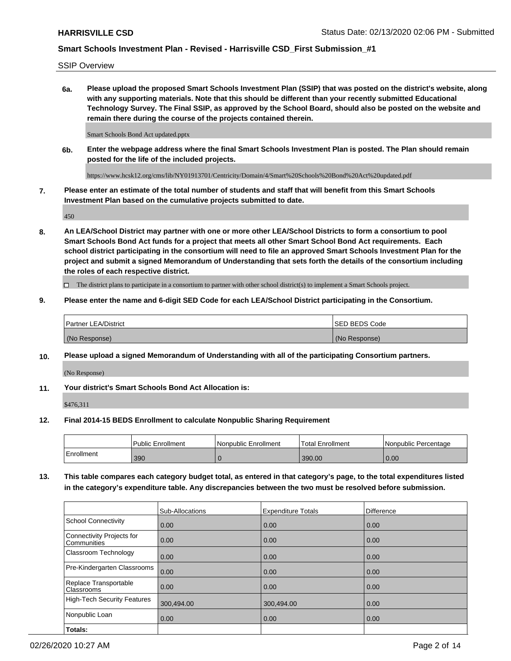SSIP Overview

**6a. Please upload the proposed Smart Schools Investment Plan (SSIP) that was posted on the district's website, along with any supporting materials. Note that this should be different than your recently submitted Educational Technology Survey. The Final SSIP, as approved by the School Board, should also be posted on the website and remain there during the course of the projects contained therein.**

Smart Schools Bond Act updated.pptx

**6b. Enter the webpage address where the final Smart Schools Investment Plan is posted. The Plan should remain posted for the life of the included projects.**

https://www.hcsk12.org/cms/lib/NY01913701/Centricity/Domain/4/Smart%20Schools%20Bond%20Act%20updated.pdf

**7. Please enter an estimate of the total number of students and staff that will benefit from this Smart Schools Investment Plan based on the cumulative projects submitted to date.**

450

**8. An LEA/School District may partner with one or more other LEA/School Districts to form a consortium to pool Smart Schools Bond Act funds for a project that meets all other Smart School Bond Act requirements. Each school district participating in the consortium will need to file an approved Smart Schools Investment Plan for the project and submit a signed Memorandum of Understanding that sets forth the details of the consortium including the roles of each respective district.**

 $\Box$  The district plans to participate in a consortium to partner with other school district(s) to implement a Smart Schools project.

### **9. Please enter the name and 6-digit SED Code for each LEA/School District participating in the Consortium.**

| Partner LEA/District | <b>ISED BEDS Code</b> |
|----------------------|-----------------------|
| (No Response)        | (No Response)         |

#### **10. Please upload a signed Memorandum of Understanding with all of the participating Consortium partners.**

(No Response)

**11. Your district's Smart Schools Bond Act Allocation is:**

\$476,311

#### **12. Final 2014-15 BEDS Enrollment to calculate Nonpublic Sharing Requirement**

|            | Public Enrollment | Nonpublic Enrollment | Total Enrollment | I Nonpublic Percentage |
|------------|-------------------|----------------------|------------------|------------------------|
| Enrollment | 390               |                      | 390.00           | 0.00                   |

**13. This table compares each category budget total, as entered in that category's page, to the total expenditures listed in the category's expenditure table. Any discrepancies between the two must be resolved before submission.**

|                                          | Sub-Allocations | <b>Expenditure Totals</b> | <b>Difference</b> |
|------------------------------------------|-----------------|---------------------------|-------------------|
| <b>School Connectivity</b>               | 0.00            | 0.00                      | 0.00              |
| Connectivity Projects for<br>Communities | 0.00            | 0.00                      | 0.00              |
| Classroom Technology                     | 0.00            | 0.00                      | 0.00              |
| Pre-Kindergarten Classrooms              | 0.00            | 0.00                      | 0.00              |
| Replace Transportable<br>Classrooms      | 0.00            | 0.00                      | 0.00              |
| High-Tech Security Features              | 300,494.00      | 300,494.00                | 0.00              |
| Nonpublic Loan                           | 0.00            | 0.00                      | 0.00              |
| Totals:                                  |                 |                           |                   |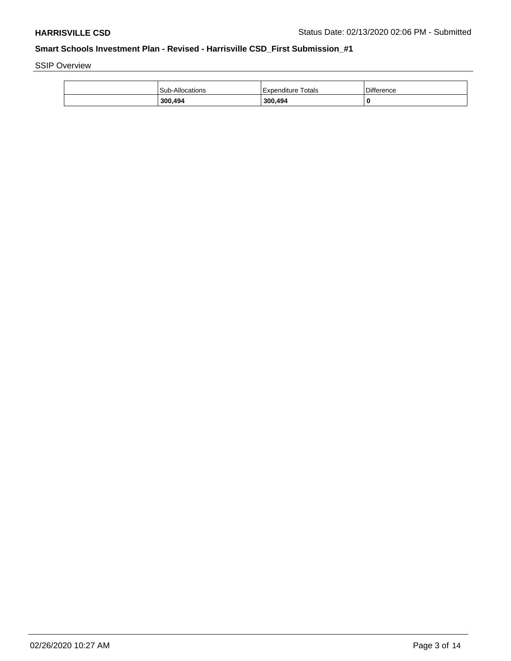SSIP Overview

| 300,494                | 300,494            | 0                 |
|------------------------|--------------------|-------------------|
| <b>Sub-Allocations</b> | Expenditure Totals | <b>Difference</b> |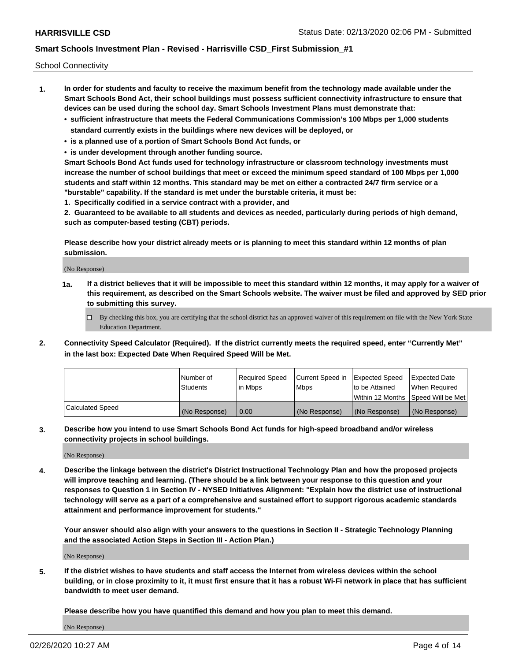School Connectivity

- **1. In order for students and faculty to receive the maximum benefit from the technology made available under the Smart Schools Bond Act, their school buildings must possess sufficient connectivity infrastructure to ensure that devices can be used during the school day. Smart Schools Investment Plans must demonstrate that:**
	- **• sufficient infrastructure that meets the Federal Communications Commission's 100 Mbps per 1,000 students standard currently exists in the buildings where new devices will be deployed, or**
	- **• is a planned use of a portion of Smart Schools Bond Act funds, or**
	- **• is under development through another funding source.**

**Smart Schools Bond Act funds used for technology infrastructure or classroom technology investments must increase the number of school buildings that meet or exceed the minimum speed standard of 100 Mbps per 1,000 students and staff within 12 months. This standard may be met on either a contracted 24/7 firm service or a "burstable" capability. If the standard is met under the burstable criteria, it must be:**

**1. Specifically codified in a service contract with a provider, and**

**2. Guaranteed to be available to all students and devices as needed, particularly during periods of high demand, such as computer-based testing (CBT) periods.**

**Please describe how your district already meets or is planning to meet this standard within 12 months of plan submission.**

(No Response)

**1a. If a district believes that it will be impossible to meet this standard within 12 months, it may apply for a waiver of this requirement, as described on the Smart Schools website. The waiver must be filed and approved by SED prior to submitting this survey.**

 $\Box$  By checking this box, you are certifying that the school district has an approved waiver of this requirement on file with the New York State Education Department.

**2. Connectivity Speed Calculator (Required). If the district currently meets the required speed, enter "Currently Met" in the last box: Expected Date When Required Speed Will be Met.**

|                  | l Number of     | Required Speed | Current Speed in | Expected Speed | Expected Date                           |
|------------------|-----------------|----------------|------------------|----------------|-----------------------------------------|
|                  | <b>Students</b> | In Mbps        | l Mbps           | to be Attained | When Required                           |
|                  |                 |                |                  |                | l Within 12 Months ISpeed Will be Met l |
| Calculated Speed | (No Response)   | 0.00           | (No Response)    | (No Response)  | (No Response)                           |

**3. Describe how you intend to use Smart Schools Bond Act funds for high-speed broadband and/or wireless connectivity projects in school buildings.**

(No Response)

**4. Describe the linkage between the district's District Instructional Technology Plan and how the proposed projects will improve teaching and learning. (There should be a link between your response to this question and your responses to Question 1 in Section IV - NYSED Initiatives Alignment: "Explain how the district use of instructional technology will serve as a part of a comprehensive and sustained effort to support rigorous academic standards attainment and performance improvement for students."** 

**Your answer should also align with your answers to the questions in Section II - Strategic Technology Planning and the associated Action Steps in Section III - Action Plan.)**

(No Response)

**5. If the district wishes to have students and staff access the Internet from wireless devices within the school building, or in close proximity to it, it must first ensure that it has a robust Wi-Fi network in place that has sufficient bandwidth to meet user demand.**

**Please describe how you have quantified this demand and how you plan to meet this demand.**

(No Response)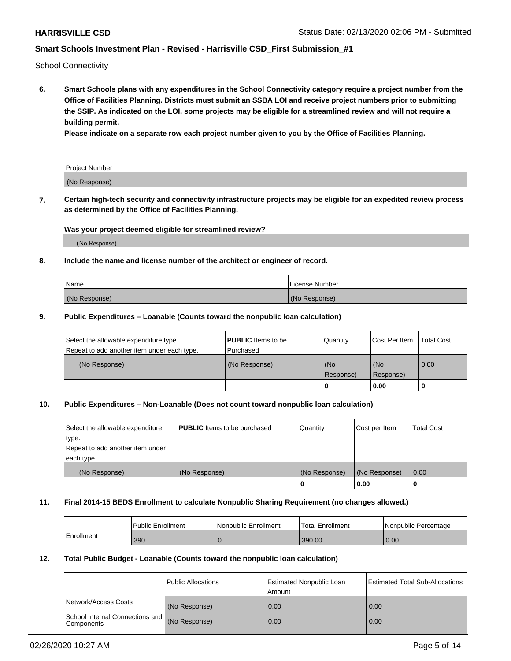School Connectivity

**6. Smart Schools plans with any expenditures in the School Connectivity category require a project number from the Office of Facilities Planning. Districts must submit an SSBA LOI and receive project numbers prior to submitting the SSIP. As indicated on the LOI, some projects may be eligible for a streamlined review and will not require a building permit.**

**Please indicate on a separate row each project number given to you by the Office of Facilities Planning.**

| Project Number |  |
|----------------|--|
| (No Response)  |  |

**7. Certain high-tech security and connectivity infrastructure projects may be eligible for an expedited review process as determined by the Office of Facilities Planning.**

### **Was your project deemed eligible for streamlined review?**

(No Response)

### **8. Include the name and license number of the architect or engineer of record.**

| Name          | License Number |
|---------------|----------------|
| (No Response) | (No Response)  |

### **9. Public Expenditures – Loanable (Counts toward the nonpublic loan calculation)**

| Select the allowable expenditure type.<br>Repeat to add another item under each type. | <b>PUBLIC</b> Items to be<br>l Purchased | Quantity         | l Cost Per Item  | <b>Total Cost</b> |
|---------------------------------------------------------------------------------------|------------------------------------------|------------------|------------------|-------------------|
| (No Response)                                                                         | (No Response)                            | (No<br>Response) | (No<br>Response) | 0.00              |
|                                                                                       |                                          | 0                | 0.00             |                   |

### **10. Public Expenditures – Non-Loanable (Does not count toward nonpublic loan calculation)**

| Select the allowable expenditure | <b>PUBLIC</b> Items to be purchased | Quantity      | Cost per Item | <b>Total Cost</b> |
|----------------------------------|-------------------------------------|---------------|---------------|-------------------|
| type.                            |                                     |               |               |                   |
| Repeat to add another item under |                                     |               |               |                   |
| each type.                       |                                     |               |               |                   |
| (No Response)                    | (No Response)                       | (No Response) | (No Response) | 0.00              |
|                                  |                                     |               | 0.00          |                   |

#### **11. Final 2014-15 BEDS Enrollment to calculate Nonpublic Sharing Requirement (no changes allowed.)**

|            | Public Enrollment | l Nonpublic Enrollment | <b>Total Enrollment</b> | Nonpublic Percentage |
|------------|-------------------|------------------------|-------------------------|----------------------|
| Enrollment | 390               |                        | 390.00                  | 0.00                 |

### **12. Total Public Budget - Loanable (Counts toward the nonpublic loan calculation)**

|                                               | Public Allocations | <b>Estimated Nonpublic Loan</b><br>Amount | Estimated Total Sub-Allocations |
|-----------------------------------------------|--------------------|-------------------------------------------|---------------------------------|
| Network/Access Costs                          | (No Response)      | 0.00                                      | 0.00                            |
| School Internal Connections and<br>Components | (No Response)      | 0.00                                      | 0.00                            |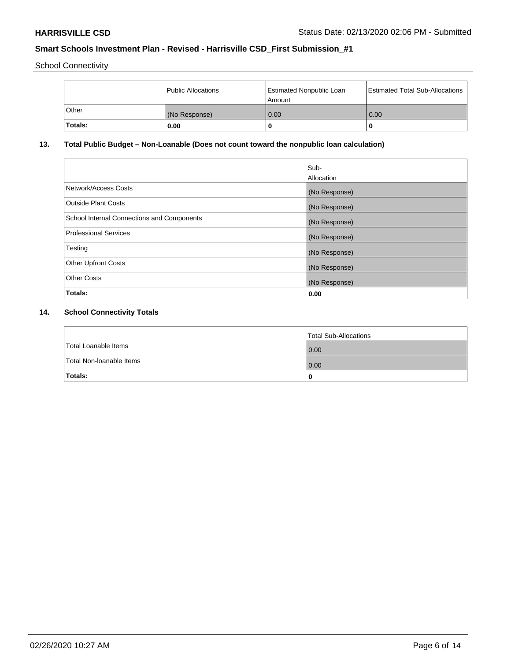School Connectivity

|         | Public Allocations | <b>Estimated Nonpublic Loan</b><br>l Amount | <b>Estimated Total Sub-Allocations</b> |
|---------|--------------------|---------------------------------------------|----------------------------------------|
| l Other | (No Response)      | 0.00                                        | 0.00                                   |
| Totals: | 0.00               | 0                                           |                                        |

# **13. Total Public Budget – Non-Loanable (Does not count toward the nonpublic loan calculation)**

|                                                   | Sub-<br>Allocation |
|---------------------------------------------------|--------------------|
|                                                   |                    |
| Network/Access Costs                              | (No Response)      |
| <b>Outside Plant Costs</b>                        | (No Response)      |
| <b>School Internal Connections and Components</b> | (No Response)      |
| Professional Services                             | (No Response)      |
| Testing                                           | (No Response)      |
| <b>Other Upfront Costs</b>                        | (No Response)      |
| <b>Other Costs</b>                                | (No Response)      |
| <b>Totals:</b>                                    | 0.00               |

# **14. School Connectivity Totals**

|                          | Total Sub-Allocations |
|--------------------------|-----------------------|
| Total Loanable Items     | 0.00                  |
| Total Non-Ioanable Items | 0.00                  |
| Totals:                  | 0                     |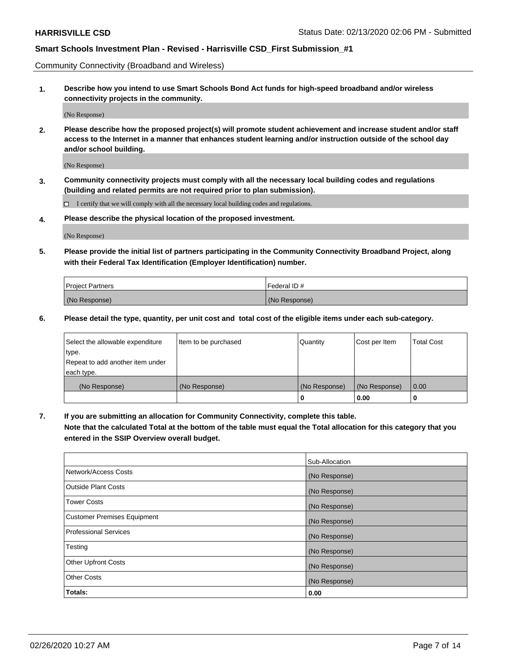Community Connectivity (Broadband and Wireless)

**1. Describe how you intend to use Smart Schools Bond Act funds for high-speed broadband and/or wireless connectivity projects in the community.**

(No Response)

**2. Please describe how the proposed project(s) will promote student achievement and increase student and/or staff access to the Internet in a manner that enhances student learning and/or instruction outside of the school day and/or school building.**

(No Response)

**3. Community connectivity projects must comply with all the necessary local building codes and regulations (building and related permits are not required prior to plan submission).**

 $\Box$  I certify that we will comply with all the necessary local building codes and regulations.

**4. Please describe the physical location of the proposed investment.**

(No Response)

**5. Please provide the initial list of partners participating in the Community Connectivity Broadband Project, along with their Federal Tax Identification (Employer Identification) number.**

| <b>Project Partners</b> | l Federal ID # |
|-------------------------|----------------|
| (No Response)           | (No Response)  |

**6. Please detail the type, quantity, per unit cost and total cost of the eligible items under each sub-category.**

| Select the allowable expenditure | Item to be purchased | Quantity      | Cost per Item | <b>Total Cost</b> |
|----------------------------------|----------------------|---------------|---------------|-------------------|
| type.                            |                      |               |               |                   |
| Repeat to add another item under |                      |               |               |                   |
| each type.                       |                      |               |               |                   |
| (No Response)                    | (No Response)        | (No Response) | (No Response) | 0.00              |
|                                  |                      | o             | 0.00          |                   |

**7. If you are submitting an allocation for Community Connectivity, complete this table.**

**Note that the calculated Total at the bottom of the table must equal the Total allocation for this category that you entered in the SSIP Overview overall budget.**

|                                    | Sub-Allocation |
|------------------------------------|----------------|
| Network/Access Costs               | (No Response)  |
| Outside Plant Costs                | (No Response)  |
| <b>Tower Costs</b>                 | (No Response)  |
| <b>Customer Premises Equipment</b> | (No Response)  |
| <b>Professional Services</b>       | (No Response)  |
| Testing                            | (No Response)  |
| <b>Other Upfront Costs</b>         | (No Response)  |
| <b>Other Costs</b>                 | (No Response)  |
| Totals:                            | 0.00           |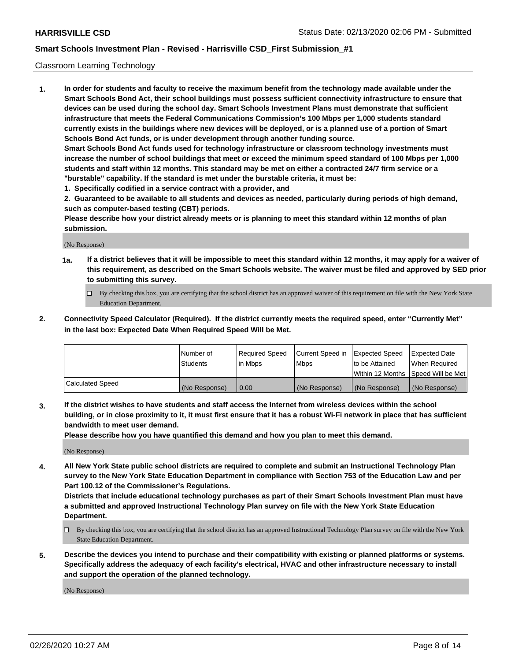### Classroom Learning Technology

**1. In order for students and faculty to receive the maximum benefit from the technology made available under the Smart Schools Bond Act, their school buildings must possess sufficient connectivity infrastructure to ensure that devices can be used during the school day. Smart Schools Investment Plans must demonstrate that sufficient infrastructure that meets the Federal Communications Commission's 100 Mbps per 1,000 students standard currently exists in the buildings where new devices will be deployed, or is a planned use of a portion of Smart Schools Bond Act funds, or is under development through another funding source. Smart Schools Bond Act funds used for technology infrastructure or classroom technology investments must increase the number of school buildings that meet or exceed the minimum speed standard of 100 Mbps per 1,000 students and staff within 12 months. This standard may be met on either a contracted 24/7 firm service or a**

- **"burstable" capability. If the standard is met under the burstable criteria, it must be:**
- **1. Specifically codified in a service contract with a provider, and**

**2. Guaranteed to be available to all students and devices as needed, particularly during periods of high demand, such as computer-based testing (CBT) periods.**

**Please describe how your district already meets or is planning to meet this standard within 12 months of plan submission.**

(No Response)

- **1a. If a district believes that it will be impossible to meet this standard within 12 months, it may apply for a waiver of this requirement, as described on the Smart Schools website. The waiver must be filed and approved by SED prior to submitting this survey.**
	- By checking this box, you are certifying that the school district has an approved waiver of this requirement on file with the New York State Education Department.
- **2. Connectivity Speed Calculator (Required). If the district currently meets the required speed, enter "Currently Met" in the last box: Expected Date When Required Speed Will be Met.**

|                  | l Number of     | Required Speed | Current Speed in | <b>Expected Speed</b> | <b>Expected Date</b>                |
|------------------|-----------------|----------------|------------------|-----------------------|-------------------------------------|
|                  | <b>Students</b> | l in Mbps      | l Mbps           | to be Attained        | When Required                       |
|                  |                 |                |                  |                       | Within 12 Months  Speed Will be Met |
| Calculated Speed | (No Response)   | 0.00           | (No Response)    | l (No Response)       | (No Response)                       |

**3. If the district wishes to have students and staff access the Internet from wireless devices within the school building, or in close proximity to it, it must first ensure that it has a robust Wi-Fi network in place that has sufficient bandwidth to meet user demand.**

**Please describe how you have quantified this demand and how you plan to meet this demand.**

(No Response)

**4. All New York State public school districts are required to complete and submit an Instructional Technology Plan survey to the New York State Education Department in compliance with Section 753 of the Education Law and per Part 100.12 of the Commissioner's Regulations.**

**Districts that include educational technology purchases as part of their Smart Schools Investment Plan must have a submitted and approved Instructional Technology Plan survey on file with the New York State Education Department.**

- By checking this box, you are certifying that the school district has an approved Instructional Technology Plan survey on file with the New York State Education Department.
- **5. Describe the devices you intend to purchase and their compatibility with existing or planned platforms or systems. Specifically address the adequacy of each facility's electrical, HVAC and other infrastructure necessary to install and support the operation of the planned technology.**

(No Response)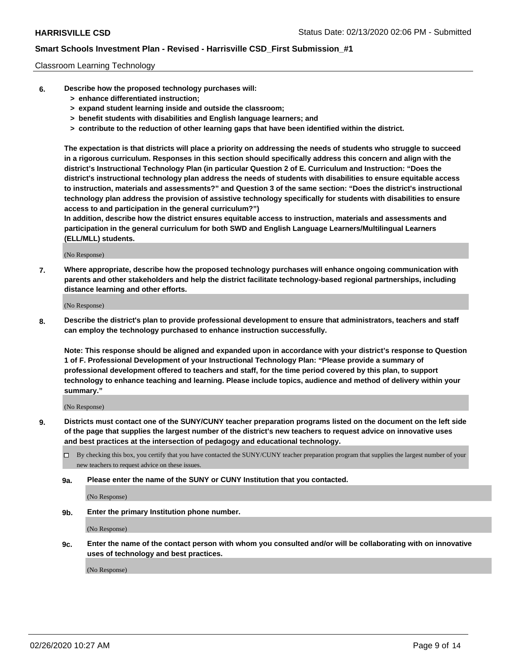### Classroom Learning Technology

- **6. Describe how the proposed technology purchases will:**
	- **> enhance differentiated instruction;**
	- **> expand student learning inside and outside the classroom;**
	- **> benefit students with disabilities and English language learners; and**
	- **> contribute to the reduction of other learning gaps that have been identified within the district.**

**The expectation is that districts will place a priority on addressing the needs of students who struggle to succeed in a rigorous curriculum. Responses in this section should specifically address this concern and align with the district's Instructional Technology Plan (in particular Question 2 of E. Curriculum and Instruction: "Does the district's instructional technology plan address the needs of students with disabilities to ensure equitable access to instruction, materials and assessments?" and Question 3 of the same section: "Does the district's instructional technology plan address the provision of assistive technology specifically for students with disabilities to ensure access to and participation in the general curriculum?")**

**In addition, describe how the district ensures equitable access to instruction, materials and assessments and participation in the general curriculum for both SWD and English Language Learners/Multilingual Learners (ELL/MLL) students.**

(No Response)

**7. Where appropriate, describe how the proposed technology purchases will enhance ongoing communication with parents and other stakeholders and help the district facilitate technology-based regional partnerships, including distance learning and other efforts.**

(No Response)

**8. Describe the district's plan to provide professional development to ensure that administrators, teachers and staff can employ the technology purchased to enhance instruction successfully.**

**Note: This response should be aligned and expanded upon in accordance with your district's response to Question 1 of F. Professional Development of your Instructional Technology Plan: "Please provide a summary of professional development offered to teachers and staff, for the time period covered by this plan, to support technology to enhance teaching and learning. Please include topics, audience and method of delivery within your summary."**

(No Response)

- **9. Districts must contact one of the SUNY/CUNY teacher preparation programs listed on the document on the left side of the page that supplies the largest number of the district's new teachers to request advice on innovative uses and best practices at the intersection of pedagogy and educational technology.**
	- By checking this box, you certify that you have contacted the SUNY/CUNY teacher preparation program that supplies the largest number of your new teachers to request advice on these issues.
	- **9a. Please enter the name of the SUNY or CUNY Institution that you contacted.**

(No Response)

**9b. Enter the primary Institution phone number.**

(No Response)

**9c. Enter the name of the contact person with whom you consulted and/or will be collaborating with on innovative uses of technology and best practices.**

(No Response)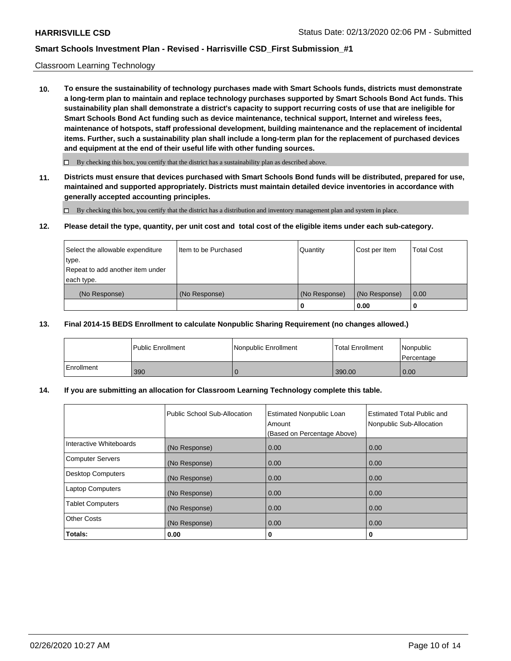### Classroom Learning Technology

**10. To ensure the sustainability of technology purchases made with Smart Schools funds, districts must demonstrate a long-term plan to maintain and replace technology purchases supported by Smart Schools Bond Act funds. This sustainability plan shall demonstrate a district's capacity to support recurring costs of use that are ineligible for Smart Schools Bond Act funding such as device maintenance, technical support, Internet and wireless fees, maintenance of hotspots, staff professional development, building maintenance and the replacement of incidental items. Further, such a sustainability plan shall include a long-term plan for the replacement of purchased devices and equipment at the end of their useful life with other funding sources.**

 $\Box$  By checking this box, you certify that the district has a sustainability plan as described above.

**11. Districts must ensure that devices purchased with Smart Schools Bond funds will be distributed, prepared for use, maintained and supported appropriately. Districts must maintain detailed device inventories in accordance with generally accepted accounting principles.**

By checking this box, you certify that the district has a distribution and inventory management plan and system in place.

#### **12. Please detail the type, quantity, per unit cost and total cost of the eligible items under each sub-category.**

| Select the allowable expenditure<br>type.<br>Repeat to add another item under | Item to be Purchased | Quantity      | Cost per Item | <b>Total Cost</b> |
|-------------------------------------------------------------------------------|----------------------|---------------|---------------|-------------------|
| each type.<br>(No Response)                                                   | (No Response)        | (No Response) | (No Response) | 0.00              |
|                                                                               |                      | 0             | 0.00          |                   |

### **13. Final 2014-15 BEDS Enrollment to calculate Nonpublic Sharing Requirement (no changes allowed.)**

|              | l Public Enrollment | <b>Nonpublic Enrollment</b> | <b>Total Enrollment</b> | Nonpublic<br>l Percentage |
|--------------|---------------------|-----------------------------|-------------------------|---------------------------|
| l Enrollment | 390                 |                             | 390.00                  | 0.00                      |

### **14. If you are submitting an allocation for Classroom Learning Technology complete this table.**

|                         | Public School Sub-Allocation | <b>Estimated Nonpublic Loan</b><br>Amount<br>(Based on Percentage Above) | Estimated Total Public and<br>Nonpublic Sub-Allocation |
|-------------------------|------------------------------|--------------------------------------------------------------------------|--------------------------------------------------------|
| Interactive Whiteboards | (No Response)                | 0.00                                                                     | 0.00                                                   |
| Computer Servers        | (No Response)                | 0.00                                                                     | 0.00                                                   |
| Desktop Computers       | (No Response)                | 0.00                                                                     | 0.00                                                   |
| <b>Laptop Computers</b> | (No Response)                | 0.00                                                                     | 0.00                                                   |
| <b>Tablet Computers</b> | (No Response)                | 0.00                                                                     | 0.00                                                   |
| Other Costs             | (No Response)                | 0.00                                                                     | 0.00                                                   |
| Totals:                 | 0.00                         | 0                                                                        | 0                                                      |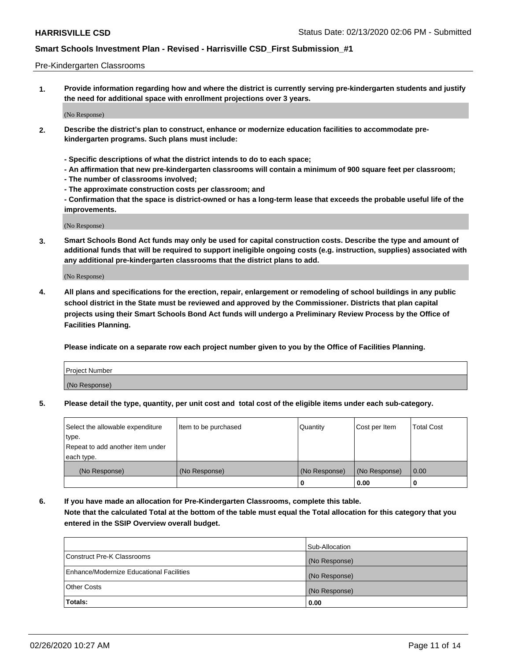#### Pre-Kindergarten Classrooms

**1. Provide information regarding how and where the district is currently serving pre-kindergarten students and justify the need for additional space with enrollment projections over 3 years.**

(No Response)

- **2. Describe the district's plan to construct, enhance or modernize education facilities to accommodate prekindergarten programs. Such plans must include:**
	- **Specific descriptions of what the district intends to do to each space;**
	- **An affirmation that new pre-kindergarten classrooms will contain a minimum of 900 square feet per classroom;**
	- **The number of classrooms involved;**
	- **The approximate construction costs per classroom; and**
	- **Confirmation that the space is district-owned or has a long-term lease that exceeds the probable useful life of the improvements.**

(No Response)

**3. Smart Schools Bond Act funds may only be used for capital construction costs. Describe the type and amount of additional funds that will be required to support ineligible ongoing costs (e.g. instruction, supplies) associated with any additional pre-kindergarten classrooms that the district plans to add.**

(No Response)

**4. All plans and specifications for the erection, repair, enlargement or remodeling of school buildings in any public school district in the State must be reviewed and approved by the Commissioner. Districts that plan capital projects using their Smart Schools Bond Act funds will undergo a Preliminary Review Process by the Office of Facilities Planning.**

**Please indicate on a separate row each project number given to you by the Office of Facilities Planning.**

| Project Number |  |
|----------------|--|
| (No Response)  |  |
|                |  |

**5. Please detail the type, quantity, per unit cost and total cost of the eligible items under each sub-category.**

| Select the allowable expenditure | Item to be purchased | Quantity      | Cost per Item | <b>Total Cost</b> |
|----------------------------------|----------------------|---------------|---------------|-------------------|
| type.                            |                      |               |               |                   |
| Repeat to add another item under |                      |               |               |                   |
| each type.                       |                      |               |               |                   |
| (No Response)                    | (No Response)        | (No Response) | (No Response) | 0.00              |
|                                  |                      | U             | 0.00          |                   |

**6. If you have made an allocation for Pre-Kindergarten Classrooms, complete this table. Note that the calculated Total at the bottom of the table must equal the Total allocation for this category that you entered in the SSIP Overview overall budget.**

|                                          | Sub-Allocation |
|------------------------------------------|----------------|
| Construct Pre-K Classrooms               | (No Response)  |
| Enhance/Modernize Educational Facilities | (No Response)  |
| <b>Other Costs</b>                       | (No Response)  |
| Totals:                                  | 0.00           |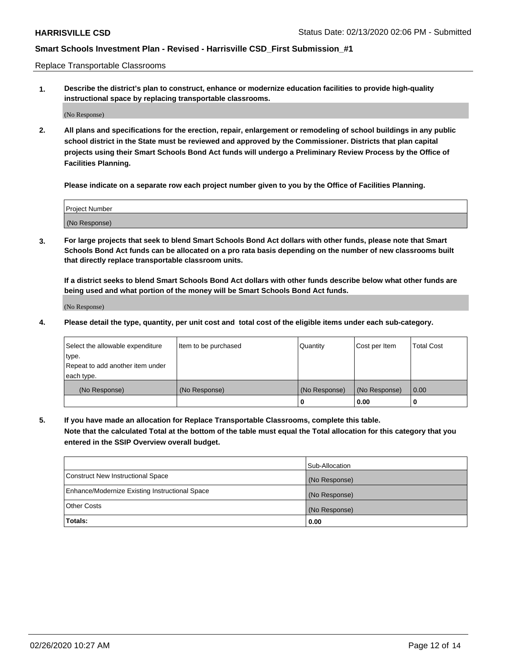Replace Transportable Classrooms

**1. Describe the district's plan to construct, enhance or modernize education facilities to provide high-quality instructional space by replacing transportable classrooms.**

(No Response)

**2. All plans and specifications for the erection, repair, enlargement or remodeling of school buildings in any public school district in the State must be reviewed and approved by the Commissioner. Districts that plan capital projects using their Smart Schools Bond Act funds will undergo a Preliminary Review Process by the Office of Facilities Planning.**

**Please indicate on a separate row each project number given to you by the Office of Facilities Planning.**

| Project Number |  |
|----------------|--|
|                |  |
| (No Response)  |  |

**3. For large projects that seek to blend Smart Schools Bond Act dollars with other funds, please note that Smart Schools Bond Act funds can be allocated on a pro rata basis depending on the number of new classrooms built that directly replace transportable classroom units.**

**If a district seeks to blend Smart Schools Bond Act dollars with other funds describe below what other funds are being used and what portion of the money will be Smart Schools Bond Act funds.**

(No Response)

**4. Please detail the type, quantity, per unit cost and total cost of the eligible items under each sub-category.**

| Select the allowable expenditure | Item to be purchased | Quantity      | Cost per Item | Total Cost |
|----------------------------------|----------------------|---------------|---------------|------------|
| ∣type.                           |                      |               |               |            |
| Repeat to add another item under |                      |               |               |            |
| each type.                       |                      |               |               |            |
| (No Response)                    | (No Response)        | (No Response) | (No Response) | 0.00       |
|                                  |                      | u             | 0.00          |            |

**5. If you have made an allocation for Replace Transportable Classrooms, complete this table. Note that the calculated Total at the bottom of the table must equal the Total allocation for this category that you entered in the SSIP Overview overall budget.**

|                                                | Sub-Allocation |
|------------------------------------------------|----------------|
| Construct New Instructional Space              | (No Response)  |
| Enhance/Modernize Existing Instructional Space | (No Response)  |
| Other Costs                                    | (No Response)  |
| Totals:                                        | 0.00           |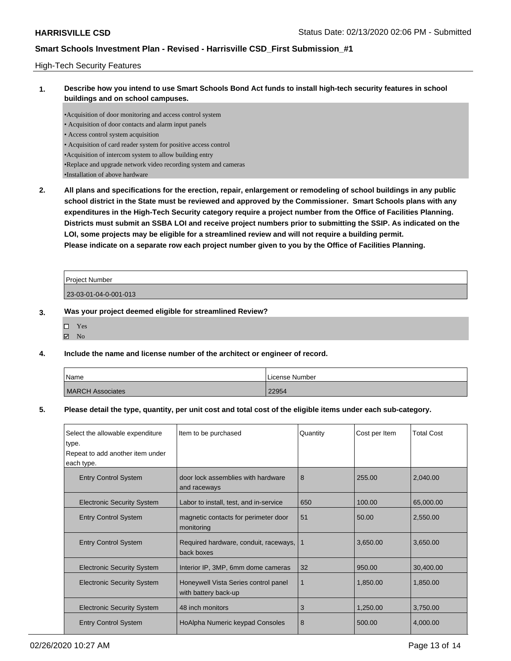### High-Tech Security Features

**1. Describe how you intend to use Smart Schools Bond Act funds to install high-tech security features in school buildings and on school campuses.**

•Acquisition of door monitoring and access control system • Acquisition of door contacts and alarm input panels • Access control system acquisition • Acquisition of card reader system for positive access control •Acquisition of intercom system to allow building entry •Replace and upgrade network video recording system and cameras •Installation of above hardware

**2. All plans and specifications for the erection, repair, enlargement or remodeling of school buildings in any public school district in the State must be reviewed and approved by the Commissioner. Smart Schools plans with any expenditures in the High-Tech Security category require a project number from the Office of Facilities Planning. Districts must submit an SSBA LOI and receive project numbers prior to submitting the SSIP. As indicated on the LOI, some projects may be eligible for a streamlined review and will not require a building permit. Please indicate on a separate row each project number given to you by the Office of Facilities Planning.**

| Project Number        |  |
|-----------------------|--|
| 23-03-01-04-0-001-013 |  |

### **3. Was your project deemed eligible for streamlined Review?**

| □ | Yes |
|---|-----|
| ✔ | No  |

### **4. Include the name and license number of the architect or engineer of record.**

| Name                    | License Number |
|-------------------------|----------------|
| <b>MARCH Associates</b> | 22954          |

### **5. Please detail the type, quantity, per unit cost and total cost of the eligible items under each sub-category.**

| Select the allowable expenditure<br>type. | Item to be purchased                                         | Quantity | Cost per Item | <b>Total Cost</b> |
|-------------------------------------------|--------------------------------------------------------------|----------|---------------|-------------------|
| Repeat to add another item under          |                                                              |          |               |                   |
| each type.                                |                                                              |          |               |                   |
| <b>Entry Control System</b>               | door lock assemblies with hardware<br>and raceways           | 8        | 255.00        | 2,040.00          |
| <b>Electronic Security System</b>         | Labor to install, test, and in-service                       | 650      | 100.00        | 65,000.00         |
| <b>Entry Control System</b>               | magnetic contacts for perimeter door<br>monitoring           | 51       | 50.00         | 2,550.00          |
| <b>Entry Control System</b>               | Required hardware, conduit, raceways,<br>back boxes          | -1       | 3,650.00      | 3,650.00          |
| <b>Electronic Security System</b>         | Interior IP, 3MP, 6mm dome cameras                           | 32       | 950.00        | 30,400.00         |
| <b>Electronic Security System</b>         | Honeywell Vista Series control panel<br>with battery back-up | 1        | 1,850.00      | 1,850.00          |
| <b>Electronic Security System</b>         | 48 inch monitors                                             | 3        | 1,250.00      | 3,750.00          |
| <b>Entry Control System</b>               | HoAlpha Numeric keypad Consoles                              | 8        | 500.00        | 4,000.00          |